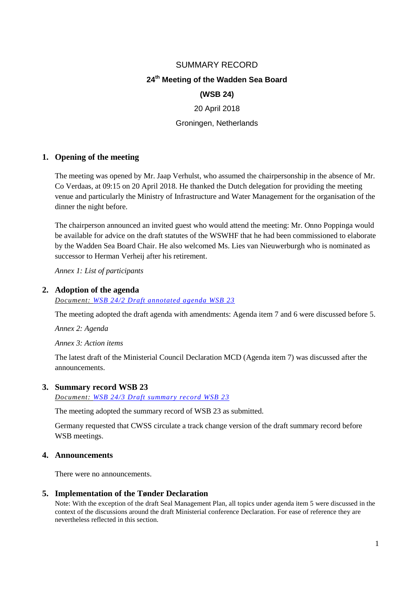# SUMMARY RECORD

# **24 th Meeting of the Wadden Sea Board**

#### **(WSB 24)**

20 April 2018

Groningen, Netherlands

#### **1. Opening of the meeting**

The meeting was opened by Mr. Jaap Verhulst, who assumed the chairpersonship in the absence of Mr. Co Verdaas, at 09:15 on 20 April 2018. He thanked the Dutch delegation for providing the meeting venue and particularly the Ministry of Infrastructure and Water Management for the organisation of the dinner the night before.

The chairperson announced an invited guest who would attend the meeting: Mr. Onno Poppinga would be available for advice on the draft statutes of the WSWHF that he had been commissioned to elaborate by the Wadden Sea Board Chair. He also welcomed Ms. Lies van Nieuwerburgh who is nominated as successor to Herman Verheij after his retirement.

*Annex 1: List of participants*

#### **2. Adoption of the agenda**

*Document: [WSB 24/2 Draft annotated agenda](http://www.waddensea-secretariat.org/sites/default/files/Meeting_Documents/WSB/WSB24/wsb_24_draft_annotaded_agenda.pdf) WSB 23*

The meeting adopted the draft agenda with amendments: Agenda item 7 and 6 were discussed before 5.

*Annex 2: Agenda*

*Annex 3: Action items* 

The latest draft of the Ministerial Council Declaration MCD (Agenda item 7) was discussed after the announcements.

#### **3. Summary record WSB 23**

*Document: WSB 24/3 [Draft summary record WSB 23](http://www.waddensea-secretariat.org/sites/default/files/Meeting_Documents/WSB/WSB24/wsb_23_final_draft_summary_record_rev.pdf)*

The meeting adopted the summary record of WSB 23 as submitted.

Germany requested that CWSS circulate a track change version of the draft summary record before WSB meetings.

#### **4. Announcements**

There were no announcements.

#### **5. Implementation of the Tønder Declaration**

Note: With the exception of the draft Seal Management Plan, all topics under agenda item 5 were discussed in the context of the discussions around the draft Ministerial conference Declaration. For ease of reference they are nevertheless reflected in this section.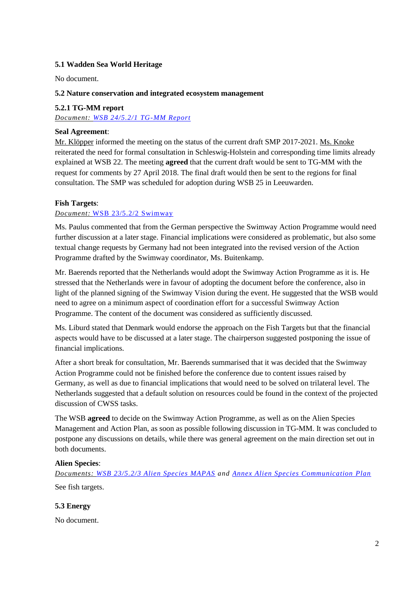# **5.1 Wadden Sea World Heritage**

No document.

# **5.2 Nature conservation and integrated ecosystem management**

# **5.2.1 TG-MM report**

*Document: [WSB 24/5.2/1 TG-MM](http://www.waddensea-secretariat.org/sites/default/files/Meeting_Documents/WSB/WSB24/wsb_24_5.2.1_report_tg-mm.pdf) Report*

#### **Seal Agreement**:

Mr. Klöpper informed the meeting on the status of the current draft SMP 2017-2021. Ms. Knoke reiterated the need for formal consultation in Schleswig-Holstein and corresponding time limits already explained at WSB 22. The meeting **agreed** that the current draft would be sent to TG-MM with the request for comments by 27 April 2018. The final draft would then be sent to the regions for final consultation. The SMP was scheduled for adoption during WSB 25 in Leeuwarden.

# **Fish Targets**:

# *Document:* [WSB 23/5.2/2 Swimway](http://www.waddensea-secretariat.org/sites/default/files/Meeting_Documents/WSB/WSB23/wsb_23.5.2.2_swimway.pdf)

Ms. Paulus commented that from the German perspective the Swimway Action Programme would need further discussion at a later stage. Financial implications were considered as problematic, but also some textual change requests by Germany had not been integrated into the revised version of the Action Programme drafted by the Swimway coordinator, Ms. Buitenkamp.

Mr. Baerends reported that the Netherlands would adopt the Swimway Action Programme as it is. He stressed that the Netherlands were in favour of adopting the document before the conference, also in light of the planned signing of the Swimway Vision during the event. He suggested that the WSB would need to agree on a minimum aspect of coordination effort for a successful Swimway Action Programme. The content of the document was considered as sufficiently discussed.

Ms. Liburd stated that Denmark would endorse the approach on the Fish Targets but that the financial aspects would have to be discussed at a later stage. The chairperson suggested postponing the issue of financial implications.

After a short break for consultation, Mr. Baerends summarised that it was decided that the Swimway Action Programme could not be finished before the conference due to content issues raised by Germany, as well as due to financial implications that would need to be solved on trilateral level. The Netherlands suggested that a default solution on resources could be found in the context of the projected discussion of CWSS tasks.

The WSB **agreed** to decide on the Swimway Action Programme, as well as on the Alien Species Management and Action Plan, as soon as possible following discussion in TG-MM. It was concluded to postpone any discussions on details, while there was general agreement on the main direction set out in both documents.

#### **Alien Species**:

*Documents: [WSB 23/5.2/3 Alien Species MAPAS](http://www.waddensea-secretariat.org/sites/default/files/Meeting_Documents/WSB/WSB23/wsb23.5.2.3_mapas.pdf) and [Annex Alien Species Communication Plan](http://www.waddensea-secretariat.org/sites/default/files/Meeting_Documents/WSB/WSB23/wsb23.5.2.3_mapas_annex2.pdf)* See fish targets.

# **5.3 Energy**

No document.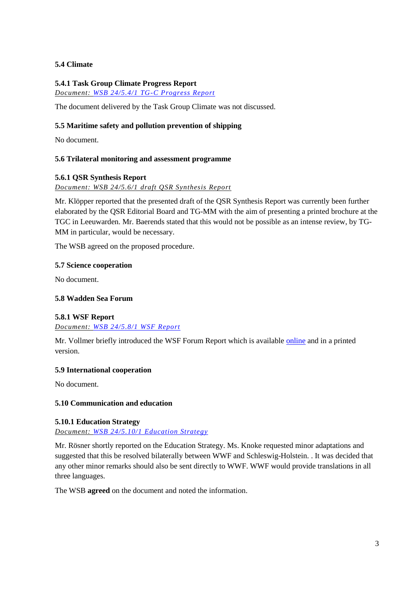# **5.4 Climate**

# **5.4.1 Task Group Climate Progress Report**

*Document: [WSB 24/5.4/1 TG-C](http://www.waddensea-secretariat.org/sites/default/files/Meeting_Documents/WSB/WSB24/wsb-24-5.8.1_wsf_report.pdf) Progress Report*

The document delivered by the Task Group Climate was not discussed.

# **5.5 Maritime safety and pollution prevention of shipping**

No document.

#### **5.6 Trilateral monitoring and assessment programme**

#### **5.6.1 QSR Synthesis Report**

*Document: WSB 24/5.6/1 draft QSR Synthesis Report*

Mr. Klöpper reported that the presented draft of the QSR Synthesis Report was currently been further elaborated by the QSR Editorial Board and TG-MM with the aim of presenting a printed brochure at the TGC in Leeuwarden. Mr. Baerends stated that this would not be possible as an intense review, by TG-MM in particular, would be necessary.

The WSB agreed on the proposed procedure.

#### **5.7 Science cooperation**

No document.

#### **5.8 Wadden Sea Forum**

#### **5.8.1 WSF Report**

*Document: [WSB 24/5.8/1 WSF](http://www.waddensea-secretariat.org/sites/default/files/Meeting_Documents/WSB/WSB24/wsb-24-5.8.1_wsf_report.pdf) Report*

Mr. Vollmer briefly introduced the WSF Forum Report which is available [online](https://www.waddensea-forum.org/images/archive/reports/forum/WSF-Developments-WSR-final-screen.pdf) and in a printed version.

#### **5.9 International cooperation**

No document.

#### **5.10 Communication and education**

#### **5.10.1 Education Strategy**

*Document: [WSB 24/5.10/1 Education Strategy](http://www.waddensea-secretariat.org/sites/default/files/Meeting_Documents/WSB/WSB24/wsb_24-5-10-1-education_strategy-v2.pdf)*

Mr. Rösner shortly reported on the Education Strategy. Ms. Knoke requested minor adaptations and suggested that this be resolved bilaterally between WWF and Schleswig-Holstein. . It was decided that any other minor remarks should also be sent directly to WWF. WWF would provide translations in all three languages.

The WSB **agreed** on the document and noted the information.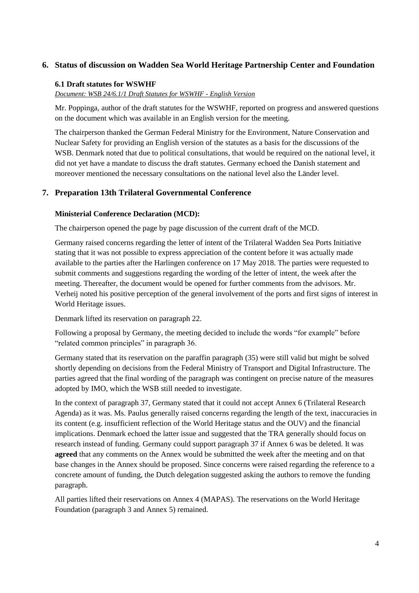# **6. Status of discussion on Wadden Sea World Heritage Partnership Center and Foundation**

#### **6.1 Draft statutes for WSWHF**

*Document: WSB 24/6.1/1 Draft Statutes for WSWHF - English Version*

Mr. Poppinga, author of the draft statutes for the WSWHF, reported on progress and answered questions on the document which was available in an English version for the meeting.

The chairperson thanked the German Federal Ministry for the Environment, Nature Conservation and Nuclear Safety for providing an English version of the statutes as a basis for the discussions of the WSB. Denmark noted that due to political consultations, that would be required on the national level, it did not yet have a mandate to discuss the draft statutes. Germany echoed the Danish statement and moreover mentioned the necessary consultations on the national level also the Länder level.

# **7. Preparation 13th Trilateral Governmental Conference**

#### **Ministerial Conference Declaration (MCD):**

The chairperson opened the page by page discussion of the current draft of the MCD.

Germany raised concerns regarding the letter of intent of the Trilateral Wadden Sea Ports Initiative stating that it was not possible to express appreciation of the content before it was actually made available to the parties after the Harlingen conference on 17 May 2018. The parties were requested to submit comments and suggestions regarding the wording of the letter of intent, the week after the meeting. Thereafter, the document would be opened for further comments from the advisors. Mr. Verheij noted his positive perception of the general involvement of the ports and first signs of interest in World Heritage issues.

Denmark lifted its reservation on paragraph 22.

Following a proposal by Germany, the meeting decided to include the words "for example" before "related common principles" in paragraph 36.

Germany stated that its reservation on the paraffin paragraph (35) were still valid but might be solved shortly depending on decisions from the Federal Ministry of Transport and Digital Infrastructure. The parties agreed that the final wording of the paragraph was contingent on precise nature of the measures adopted by IMO, which the WSB still needed to investigate.

In the context of paragraph 37, Germany stated that it could not accept Annex 6 (Trilateral Research Agenda) as it was. Ms. Paulus generally raised concerns regarding the length of the text, inaccuracies in its content (e.g. insufficient reflection of the World Heritage status and the OUV) and the financial implications. Denmark echoed the latter issue and suggested that the TRA generally should focus on research instead of funding. Germany could support paragraph 37 if Annex 6 was be deleted. It was **agreed** that any comments on the Annex would be submitted the week after the meeting and on that base changes in the Annex should be proposed. Since concerns were raised regarding the reference to a concrete amount of funding, the Dutch delegation suggested asking the authors to remove the funding paragraph.

All parties lifted their reservations on Annex 4 (MAPAS). The reservations on the World Heritage Foundation (paragraph 3 and Annex 5) remained.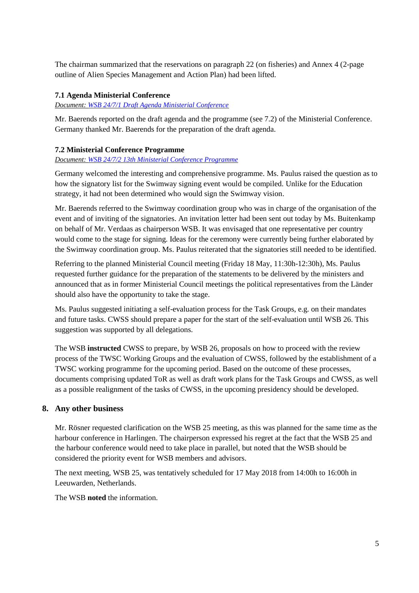The chairman summarized that the reservations on paragraph 22 (on fisheries) and Annex 4 (2-page outline of Alien Species Management and Action Plan) had been lifted.

# **7.1 Agenda Ministerial Conference**

*Document: [WSB 24/7/1 Draft Agenda Ministerial Conference](http://www.waddensea-secretariat.org/sites/default/files/Meeting_Documents/WSB/WSB24/wsb-24-7-1-draft_agenda_of_ministerial_conference_meeting_2018-04-16.pdf)*

Mr. Baerends reported on the draft agenda and the programme (see 7.2) of the Ministerial Conference. Germany thanked Mr. Baerends for the preparation of the draft agenda.

# **7.2 Ministerial Conference Programme**

## *Document: [WSB 24/7/2 13th Ministerial Conference Programme](http://www.waddensea-secretariat.org/sites/default/files/Meeting_Documents/WSB/WSB24/wsb_24-7-2_20_april_tgc_13_final_draft_programme_0.pdf)*

Germany welcomed the interesting and comprehensive programme. Ms. Paulus raised the question as to how the signatory list for the Swimway signing event would be compiled. Unlike for the Education strategy, it had not been determined who would sign the Swimway vision.

Mr. Baerends referred to the Swimway coordination group who was in charge of the organisation of the event and of inviting of the signatories. An invitation letter had been sent out today by Ms. Buitenkamp on behalf of Mr. Verdaas as chairperson WSB. It was envisaged that one representative per country would come to the stage for signing. Ideas for the ceremony were currently being further elaborated by the Swimway coordination group. Ms. Paulus reiterated that the signatories still needed to be identified.

Referring to the planned Ministerial Council meeting (Friday 18 May, 11:30h-12:30h), Ms. Paulus requested further guidance for the preparation of the statements to be delivered by the ministers and announced that as in former Ministerial Council meetings the political representatives from the Länder should also have the opportunity to take the stage.

Ms. Paulus suggested initiating a self-evaluation process for the Task Groups, e.g. on their mandates and future tasks. CWSS should prepare a paper for the start of the self-evaluation until WSB 26. This suggestion was supported by all delegations.

The WSB **instructed** CWSS to prepare, by WSB 26, proposals on how to proceed with the review process of the TWSC Working Groups and the evaluation of CWSS, followed by the establishment of a TWSC working programme for the upcoming period. Based on the outcome of these processes, documents comprising updated ToR as well as draft work plans for the Task Groups and CWSS, as well as a possible realignment of the tasks of CWSS, in the upcoming presidency should be developed.

# **8. Any other business**

Mr. Rösner requested clarification on the WSB 25 meeting, as this was planned for the same time as the harbour conference in Harlingen. The chairperson expressed his regret at the fact that the WSB 25 and the harbour conference would need to take place in parallel, but noted that the WSB should be considered the priority event for WSB members and advisors.

The next meeting, WSB 25, was tentatively scheduled for 17 May 2018 from 14:00h to 16:00h in Leeuwarden, Netherlands.

The WSB **noted** the information.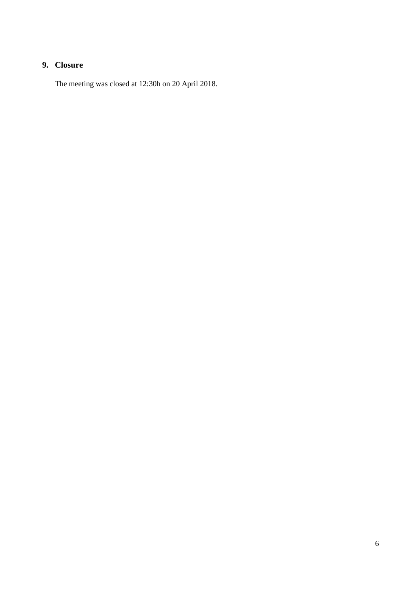# **9. Closure**

The meeting was closed at 12:30h on 20 April 2018.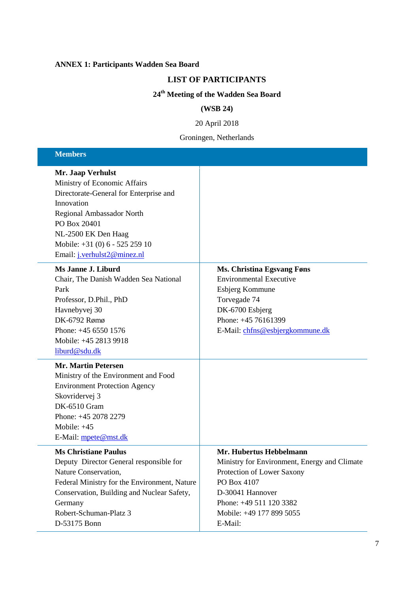#### **ANNEX 1: Participants Wadden Sea Board**

#### **LIST OF PARTICIPANTS**

# **24 th Meeting of the Wadden Sea Board**

#### **(WSB 24)**

20 April 2018

Groningen, Netherlands

#### **Members Mr. Jaap Verhulst** Ministry of Economic Affairs Directorate-General for Enterprise and Innovation Regional Ambassador North PO Box 20401 NL-2500 EK Den Haag Mobile: +31 (0) 6 - 525 259 10 Email: [j.verhulst2@minez.nl](mailto:j.verhulst2@minez.nl) **Ms Janne J. Liburd** Chair, The Danish Wadden Sea National Park Professor, D.Phil., PhD Havnebyvej 30 DK-6792 Rømø Phone: +45 6550 1576 Mobile: +45 2813 9918 [liburd@sdu.dk](mailto:liburd@sdu.dk) **Ms. Christina Egsvang Føns** Environmental Executive Esbjerg Kommune Torvegade 74 DK-6700 Esbjerg Phone: +45 76161399 E-Mail: [chfns@esbjergkommune.dk](mailto:chfns@esbjergkommune.dk) **Mr. Martin Petersen** Ministry of the Environment and Food Environment Protection Agency Skovridervej 3 DK-6510 Gram Phone: +45 2078 2279 Mobile: +45 E-Mail: [mpete@mst.dk](mailto:mpete@mst.dk) **Ms Christiane Paulus**  Deputy Director General responsible for Nature Conservation, Federal Ministry for the Environment, Nature Conservation, Building and Nuclear Safety, Germany Robert-Schuman-Platz 3 D-53175 Bonn **Mr. Hubertus Hebbelmann** Ministry for Environment, Energy and Climate Protection of Lower Saxony PO Box 4107 D-30041 Hannover Phone: +49 511 120 3382 Mobile: +49 177 899 5055 E-Mail: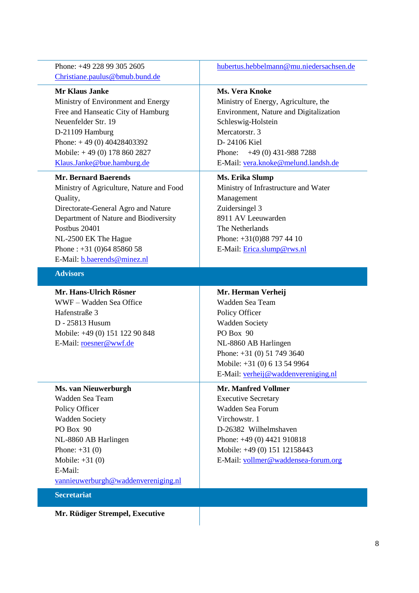Phone: +49 228 99 305 2605 [Christiane.paulus@bmub.bund.de](mailto:Christiane.paulus@bmub.bund.de)

# **Mr Klaus Janke**

Ministry of Environment and Energy Free and Hanseatic City of Hamburg Neuenfelder Str. 19 D-21109 Hamburg Phone: + 49 (0) 40428403392 Mobile: + 49 (0) 178 860 2827 [Klaus.Janke@bue.hamburg.de](mailto:Klaus.Janke@bue.hamburg.de)

#### **Mr. Bernard Baerends**

Ministry of Agriculture, Nature and Food Quality, Directorate-General Agro and Nature Department of Nature and Biodiversity Postbus 20401 NL-2500 EK The Hague Phone : +31 (0)64 85860 58 E-Mail: [b.baerends@minez.nl](mailto:b.baerends@minez.nl)

# **Advisors**

**Mr. Hans-Ulrich Rösner** WWF – Wadden Sea Office Hafenstraße 3 D - 25813 Husum Mobile: +49 (0) 151 122 90 848 E-Mail: [roesner@wwf.de](mailto:roesner@wwf.de)

#### **Ms. van Nieuwerburgh** Wadden Sea Team

Policy Officer Wadden Society PO Box 90 NL-8860 AB Harlingen Phone: +31 (0) Mobile: +31 (0) E-Mail: [vannieuwerburgh@waddenvereniging.nl](mailto:vannieuwerburgh@waddenvereniging.nl)

**Secretariat**

**Mr. Rüdiger Strempel, Executive** 

[hubertus.hebbelmann@mu.niedersachsen.de](mailto:hubertus.hebbelmann@mu.niedersachsen.de)

### **Ms. Vera Knoke**

Ministry of Energy, Agriculture, the Environment, Nature and Digitalization Schleswig-Holstein Mercatorstr. 3 D- 24106 Kiel Phone: +49 (0) 431-988 7288 E-Mail: [vera.knoke@melund.landsh.del](mailto:vera.knoke@melund.landsh.de):

#### **Ms. Erika Slump**

Ministry of Infrastructure and Water Management Zuidersingel 3 8911 AV Leeuwarden The Netherlands Phone: +31(0)88 797 44 10 E-Mail: [Erica.slump@rws.nl](mailto:Erica.slump@rws.nl)

### **Mr. Herman Verheij**

Wadden Sea Team Policy Officer Wadden Society PO Box 90 NL-8860 AB Harlingen Phone: +31 (0) 51 749 3640 Mobile: +31 (0) 6 13 54 9964 E-Mail: [verheij@waddenvereniging.nl](mailto:verheij@waddenvereniging.nl)

# **Mr. Manfred Vollmer**

Executive Secretary Wadden Sea Forum Virchowstr. 1 D-26382 Wilhelmshaven Phone: +49 (0) 4421 910818 Mobile: +49 (0) 151 12158443 E-Mail: [vollmer@waddensea-forum.org](mailto:vollmer@waddensea-forum.org)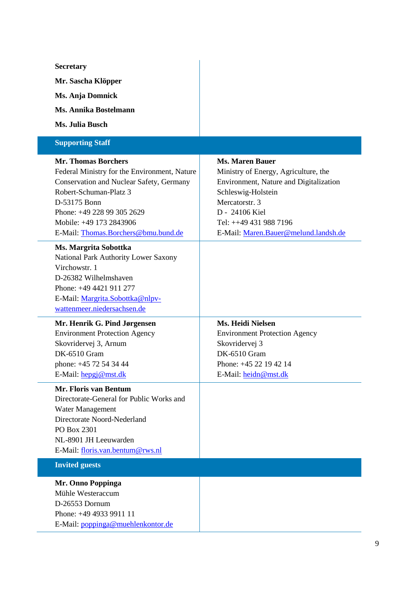#### **Secretary Mr. Sascha Klöpper Ms. Anja Domnick Ms. Annika Bostelmann Ms. Julia Busch Supporting Staff Mr. Thomas Borchers** Federal Ministry for the Environment, Nature Conservation and Nuclear Safety, Germany Robert-Schuman-Platz 3 D-53175 Bonn Phone: +49 228 99 305 2629 Mobile: +49 173 2843906 E-Mail: [Thomas.Borchers@bmu.bund.de](mailto:Thomas.Borchers@bmu.bund.de) **Ms. Maren Bauer** Ministry of Energy, Agriculture, the Environment, Nature and Digitalization Schleswig-Holstein Mercatorstr. 3 D - 24106 Kiel Tel: ++49 431 988 7196 E-Mail: [Maren.Bauer@melund.landsh.de](mailto:Maren.Bauer@melund.landsh.de) **Ms. Margrita Sobottka** National Park Authority Lower Saxony Virchowstr. 1 D-26382 Wilhelmshaven Phone: +49 4421 911 277 E-Mail: [Margrita.Sobottka@nlpv](mailto:Margrita.Sobottka@nlpv-wattenmeer.niedersachsen.de)[wattenmeer.niedersachsen.de](mailto:Margrita.Sobottka@nlpv-wattenmeer.niedersachsen.de) **Mr. Henrik G. Pind Jørgensen** Environment Protection Agency Skovridervej 3, Arnum DK-6510 Gram phone: +45 72 54 34 44 E-Mail: [hepgj@mst.dk](mailto:hepgj@mst.dk) **Ms. Heidi Nielsen** Environment Protection Agency Skovridervej 3 DK-6510 Gram Phone: +45 22 19 42 14 E-Mail: [heidn@mst.dk](mailto:heidn@mst.dk) **Mr. Floris van Bentum** Directorate-General for Public Works and Water Management Directorate Noord-Nederland PO Box 2301 NL-8901 JH Leeuwarden E-Mail: [floris.van.bentum@rws.nl](mailto:floris.van.bentum@rws.nl)

**Invited guests**

**Mr. Onno Poppinga** Mühle Westeraccum D-26553 Dornum Phone: +49 4933 9911 11 E-Mail: [poppinga@muehlenkontor.de](mailto:poppinga@muehlenkontor.de)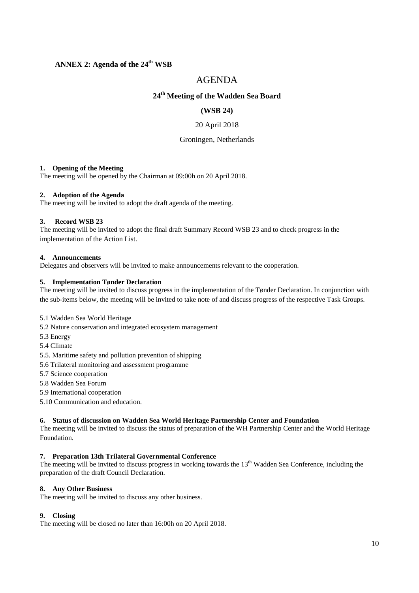### **ANNEX 2: Agenda of the 24 th WSB**

# AGENDA

# **24 th Meeting of the Wadden Sea Board**

#### **(WSB 24)**

20 April 2018

#### Groningen, Netherlands

#### **1. Opening of the Meeting**

The meeting will be opened by the Chairman at 09:00h on 20 April 2018.

#### **2. Adoption of the Agenda**

The meeting will be invited to adopt the draft agenda of the meeting.

#### **3. Record WSB 23**

The meeting will be invited to adopt the final draft Summary Record WSB 23 and to check progress in the implementation of the Action List.

#### **4. Announcements**

Delegates and observers will be invited to make announcements relevant to the cooperation.

#### **5. Implementation Tønder Declaration**

The meeting will be invited to discuss progress in the implementation of the Tønder Declaration. In conjunction with the sub-items below, the meeting will be invited to take note of and discuss progress of the respective Task Groups.

#### 5.1 Wadden Sea World Heritage

- 5.2 Nature conservation and integrated ecosystem management
- 5.3 Energy

5.4 Climate

- 5.5. Maritime safety and pollution prevention of shipping
- 5.6 Trilateral monitoring and assessment programme
- 5.7 Science cooperation
- 5.8 Wadden Sea Forum
- 5.9 International cooperation

5.10 Communication and education.

#### **6. Status of discussion on Wadden Sea World Heritage Partnership Center and Foundation**

The meeting will be invited to discuss the status of preparation of the WH Partnership Center and the World Heritage Foundation.

#### **7. Preparation 13th Trilateral Governmental Conference**

The meeting will be invited to discuss progress in working towards the 13<sup>th</sup> Wadden Sea Conference, including the preparation of the draft Council Declaration.

#### **8. Any Other Business**

The meeting will be invited to discuss any other business.

#### **9. Closing**

The meeting will be closed no later than 16:00h on 20 April 2018.